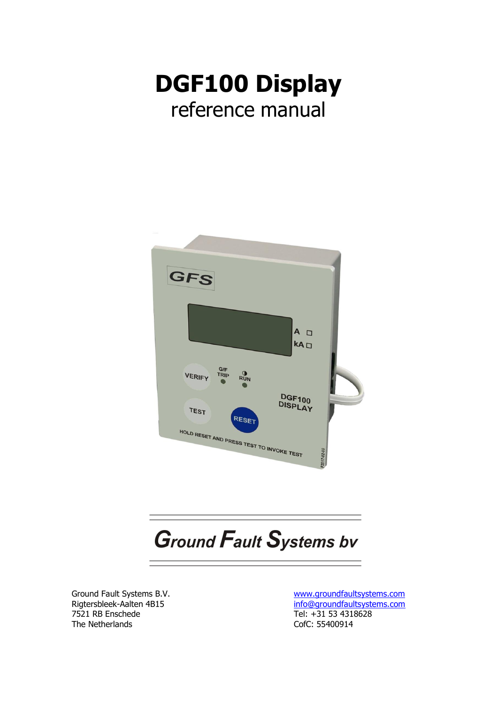



# **Ground Fault Systems bv**

Ground Fault Systems B.V. Rigtersbleek-Aalten 4B15 7521 RB Enschede The Netherlands

[www.groundfaultsystems.com](http://www.groundfaultsystems.com/) [info@groundfaultsystems.com](mailto:info@groundfaultsystems.com) Tel: +31 53 4318628 CofC: 55400914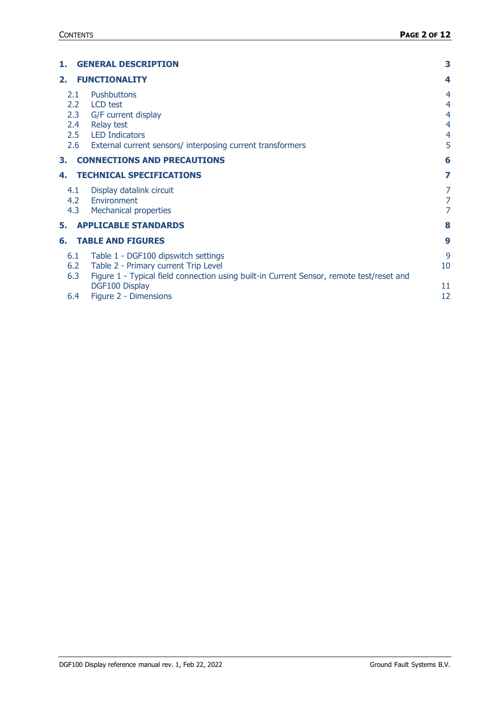| 1.                                                  | <b>GENERAL DESCRIPTION</b>                                                                                                                                                                | 3                                       |
|-----------------------------------------------------|-------------------------------------------------------------------------------------------------------------------------------------------------------------------------------------------|-----------------------------------------|
| 2.                                                  | <b>FUNCTIONALITY</b>                                                                                                                                                                      | 4                                       |
| 2.1<br>2.2 <sub>2</sub><br>2.3<br>2.4<br>2.5<br>2.6 | <b>Pushbuttons</b><br>LCD test<br>G/F current display<br><b>Relay test</b><br><b>LED Indicators</b><br>External current sensors/ interposing current transformers                         | 4<br>4<br>4<br>4<br>$\overline{4}$<br>5 |
| З.                                                  | <b>CONNECTIONS AND PRECAUTIONS</b>                                                                                                                                                        | 6                                       |
| 4.                                                  | <b>TECHNICAL SPECIFICATIONS</b>                                                                                                                                                           | 7                                       |
| 4.1<br>4.2<br>4.3                                   | Display datalink circuit<br>Environment<br><b>Mechanical properties</b>                                                                                                                   | 7<br>7<br>7                             |
| 5.                                                  | <b>APPLICABLE STANDARDS</b>                                                                                                                                                               | 8                                       |
| 6.                                                  | <b>TABLE AND FIGURES</b>                                                                                                                                                                  | 9                                       |
| 6.1<br>6.2<br>6.3                                   | Table 1 - DGF100 dipswitch settings<br>Table 2 - Primary current Trip Level<br>Figure 1 - Typical field connection using built-in Current Sensor, remote test/reset and<br>DGF100 Display | 9<br>10<br>11                           |
| 6.4                                                 | Figure 2 - Dimensions                                                                                                                                                                     | 12                                      |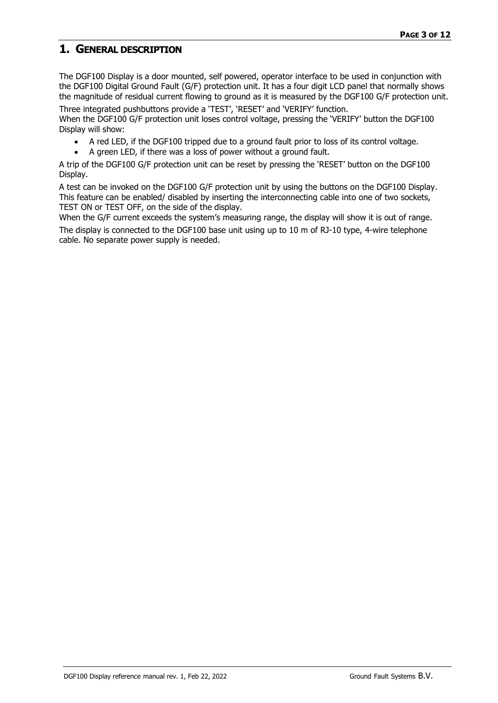## <span id="page-2-0"></span>**1. GENERAL DESCRIPTION**

The DGF100 Display is a door mounted, self powered, operator interface to be used in conjunction with the DGF100 Digital Ground Fault (G/F) protection unit. It has a four digit LCD panel that normally shows the magnitude of residual current flowing to ground as it is measured by the DGF100 G/F protection unit.

Three integrated pushbuttons provide a 'TEST', 'RESET' and 'VERIFY' function. When the DGF100 G/F protection unit loses control voltage, pressing the 'VERIFY' button the DGF100 Display will show:

- A red LED, if the DGF100 tripped due to a ground fault prior to loss of its control voltage.
- A green LED, if there was a loss of power without a ground fault.

A trip of the DGF100 G/F protection unit can be reset by pressing the 'RESET' button on the DGF100 Display.

A test can be invoked on the DGF100 G/F protection unit by using the buttons on the DGF100 Display. This feature can be enabled/ disabled by inserting the interconnecting cable into one of two sockets, TEST ON or TEST OFF, on the side of the display.

When the G/F current exceeds the system's measuring range, the display will show it is out of range. The display is connected to the DGF100 base unit using up to 10 m of RJ-10 type, 4-wire telephone cable. No separate power supply is needed.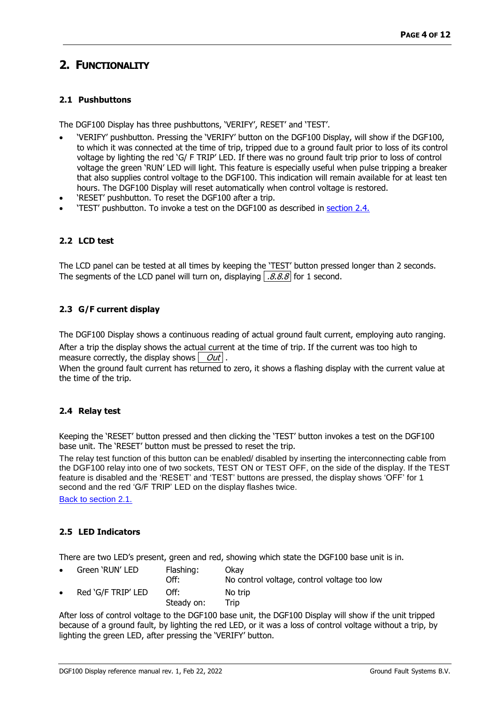# <span id="page-3-0"></span>**2. FUNCTIONALITY**

### <span id="page-3-1"></span>**2.1 Pushbuttons**

The DGF100 Display has three pushbuttons, 'VERIFY', RESET' and 'TEST'.

- 'VERIFY' pushbutton. Pressing the 'VERIFY' button on the DGF100 Display, will show if the DGF100, to which it was connected at the time of trip, tripped due to a ground fault prior to loss of its control voltage by lighting the red 'G/ F TRIP' LED. If there was no ground fault trip prior to loss of control voltage the green 'RUN' LED will light. This feature is especially useful when pulse tripping a breaker that also supplies control voltage to the DGF100. This indication will remain available for at least ten hours. The DGF100 Display will reset automatically when control voltage is restored.
- 'RESET' pushbutton. To reset the DGF100 after a trip.
- 'TEST' pushbutton. To invoke a test on the DGF100 as described in [section](#page-3-4) 2.4.

## <span id="page-3-2"></span>**2.2 LCD test**

The LCD panel can be tested at all times by keeping the 'TEST' button pressed longer than 2 seconds. The segments of the LCD panel will turn on, displaying  $\sqrt{8.8.8}$  for 1 second.

#### <span id="page-3-3"></span>**2.3 G/F current display**

The DGF100 Display shows a continuous reading of actual ground fault current, employing auto ranging.

After a trip the display shows the actual current at the time of trip. If the current was too high to measure correctly, the display shows  $\partial ut$ .

When the ground fault current has returned to zero, it shows a flashing display with the current value at the time of the trip.

#### <span id="page-3-4"></span>**2.4 Relay test**

Keeping the 'RESET' button pressed and then clicking the 'TEST' button invokes a test on the DGF100 base unit. The 'RESET' button must be pressed to reset the trip.

The relay test function of this button can be enabled/ disabled by inserting the interconnecting cable from the DGF100 relay into one of two sockets, TEST ON or TEST OFF, on the side of the display. If the TEST feature is disabled and the 'RESET' and 'TEST' buttons are pressed, the display shows 'OFF' for 1 second and the red 'G/F TRIP' LED on the display flashes twice.

[Back to section 2.1.](#page-3-1)

#### <span id="page-3-5"></span>**2.5 LED Indicators**

There are two LED's present, green and red, showing which state the DGF100 base unit is in.

| $\bullet$ | Green 'RUN' LED    | Flashing:<br>Off:  | Okav<br>No control voltage, control voltage too low |
|-----------|--------------------|--------------------|-----------------------------------------------------|
| $\bullet$ | Red 'G/F TRIP' LED | Off:<br>Steady on: | No trip<br>Trip                                     |

After loss of control voltage to the DGF100 base unit, the DGF100 Display will show if the unit tripped because of a ground fault, by lighting the red LED, or it was a loss of control voltage without a trip, by lighting the green LED, after pressing the 'VERIFY' button.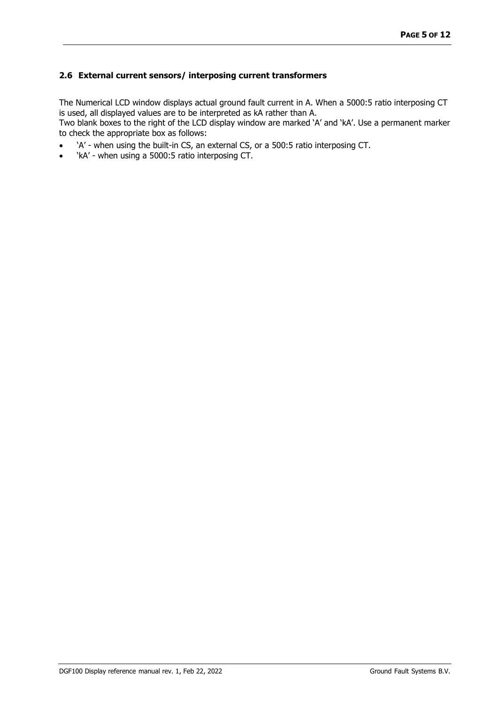#### <span id="page-4-0"></span>**2.6 External current sensors/ interposing current transformers**

The Numerical LCD window displays actual ground fault current in A. When a 5000:5 ratio interposing CT is used, all displayed values are to be interpreted as kA rather than A.

Two blank boxes to the right of the LCD display window are marked 'A' and 'kA'. Use a permanent marker to check the appropriate box as follows:

- 'A' when using the built-in CS, an external CS, or a 500:5 ratio interposing CT.
- 'kA' when using a 5000:5 ratio interposing CT.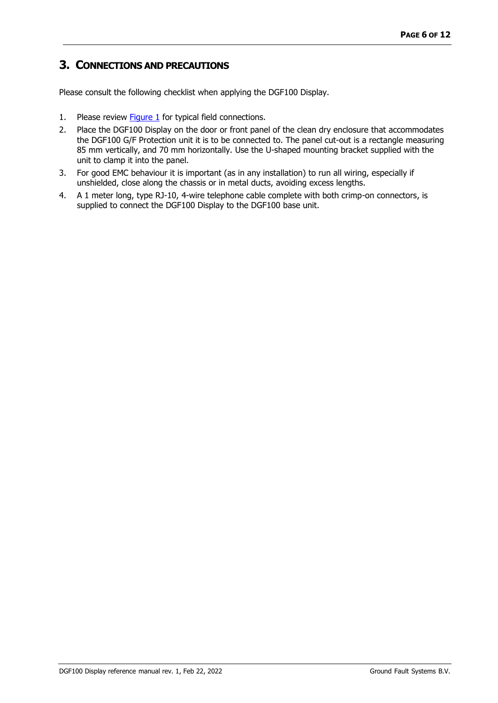# <span id="page-5-0"></span>**3. CONNECTIONS AND PRECAUTIONS**

Please consult the following checklist when applying the DGF100 Display.

- 1. Please review **Figure 1** for typical field connections.
- 2. Place the DGF100 Display on the door or front panel of the clean dry enclosure that accommodates the DGF100 G/F Protection unit it is to be connected to. The panel cut-out is a rectangle measuring 85 mm vertically, and 70 mm horizontally. Use the U-shaped mounting bracket supplied with the unit to clamp it into the panel.
- 3. For good EMC behaviour it is important (as in any installation) to run all wiring, especially if unshielded, close along the chassis or in metal ducts, avoiding excess lengths.
- 4. A 1 meter long, type RJ-10, 4-wire telephone cable complete with both crimp-on connectors, is supplied to connect the DGF100 Display to the DGF100 base unit.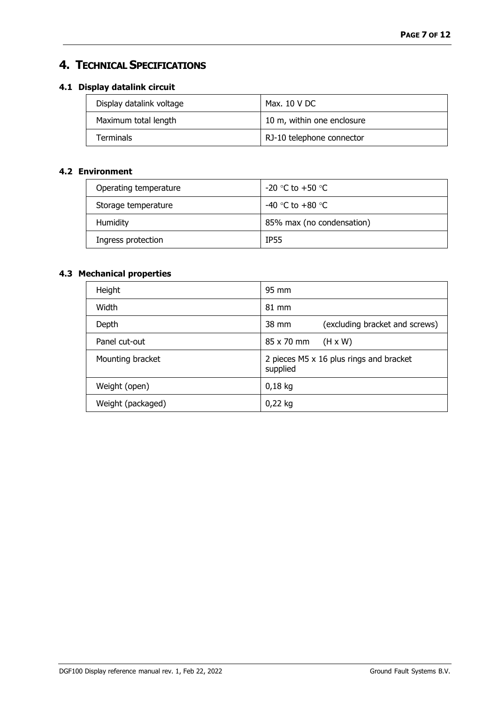# <span id="page-6-0"></span>**4. TECHNICAL SPECIFICATIONS**

## <span id="page-6-1"></span>**4.1 Display datalink circuit**

| Display datalink voltage | Max. 10 V DC               |
|--------------------------|----------------------------|
| Maximum total length     | 10 m, within one enclosure |
| <b>Terminals</b>         | RJ-10 telephone connector  |

## <span id="page-6-2"></span>**4.2 Environment**

| Operating temperature | $-20$ °C to $+50$ °C      |
|-----------------------|---------------------------|
| Storage temperature   | -40 °C to +80 °C          |
| Humidity              | 85% max (no condensation) |
| Ingress protection    | <b>IP55</b>               |

## <span id="page-6-3"></span>**4.3 Mechanical properties**

| Height            | 95 mm                                               |
|-------------------|-----------------------------------------------------|
| Width             | 81 mm                                               |
| Depth             | (excluding bracket and screws)<br>38 mm             |
| Panel cut-out     | 85 x 70 mm<br>$(H \times W)$                        |
| Mounting bracket  | 2 pieces M5 x 16 plus rings and bracket<br>supplied |
| Weight (open)     | $0,18$ kg                                           |
| Weight (packaged) | $0,22$ kg                                           |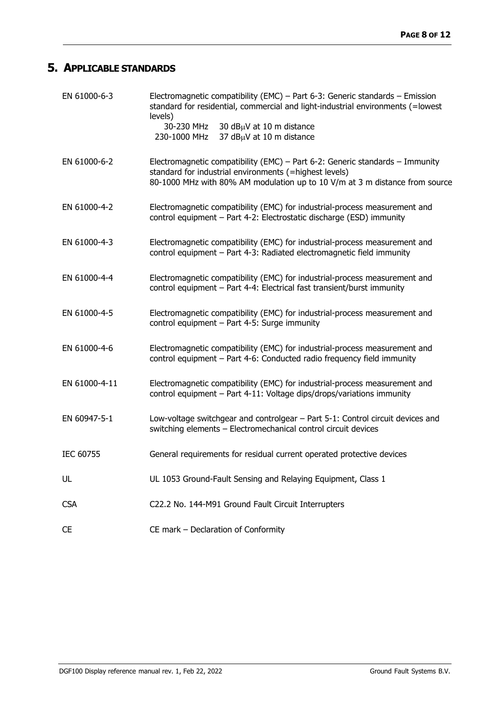# <span id="page-7-0"></span>**5. APPLICABLE STANDARDS**

| EN 61000-6-3  | Electromagnetic compatibility (EMC) - Part 6-3: Generic standards - Emission<br>standard for residential, commercial and light-industrial environments (=lowest<br>levels)<br>30-230 MHz<br>30 dBµV at 10 m distance<br>37 dBµV at 10 m distance<br>230-1000 MHz |
|---------------|------------------------------------------------------------------------------------------------------------------------------------------------------------------------------------------------------------------------------------------------------------------|
| EN 61000-6-2  | Electromagnetic compatibility (EMC) – Part 6-2: Generic standards – Immunity<br>standard for industrial environments (=highest levels)<br>80-1000 MHz with 80% AM modulation up to 10 V/m at 3 m distance from source                                            |
| EN 61000-4-2  | Electromagnetic compatibility (EMC) for industrial-process measurement and<br>control equipment - Part 4-2: Electrostatic discharge (ESD) immunity                                                                                                               |
| EN 61000-4-3  | Electromagnetic compatibility (EMC) for industrial-process measurement and<br>control equipment - Part 4-3: Radiated electromagnetic field immunity                                                                                                              |
| EN 61000-4-4  | Electromagnetic compatibility (EMC) for industrial-process measurement and<br>control equipment - Part 4-4: Electrical fast transient/burst immunity                                                                                                             |
| EN 61000-4-5  | Electromagnetic compatibility (EMC) for industrial-process measurement and<br>control equipment - Part 4-5: Surge immunity                                                                                                                                       |
| EN 61000-4-6  | Electromagnetic compatibility (EMC) for industrial-process measurement and<br>control equipment - Part 4-6: Conducted radio frequency field immunity                                                                                                             |
| EN 61000-4-11 | Electromagnetic compatibility (EMC) for industrial-process measurement and<br>control equipment - Part 4-11: Voltage dips/drops/variations immunity                                                                                                              |
| EN 60947-5-1  | Low-voltage switchgear and controlgear - Part 5-1: Control circuit devices and<br>switching elements - Electromechanical control circuit devices                                                                                                                 |
| IEC 60755     | General requirements for residual current operated protective devices                                                                                                                                                                                            |
| UL            | UL 1053 Ground-Fault Sensing and Relaying Equipment, Class 1                                                                                                                                                                                                     |
| <b>CSA</b>    | C22.2 No. 144-M91 Ground Fault Circuit Interrupters                                                                                                                                                                                                              |
| <b>CE</b>     | CE mark - Declaration of Conformity                                                                                                                                                                                                                              |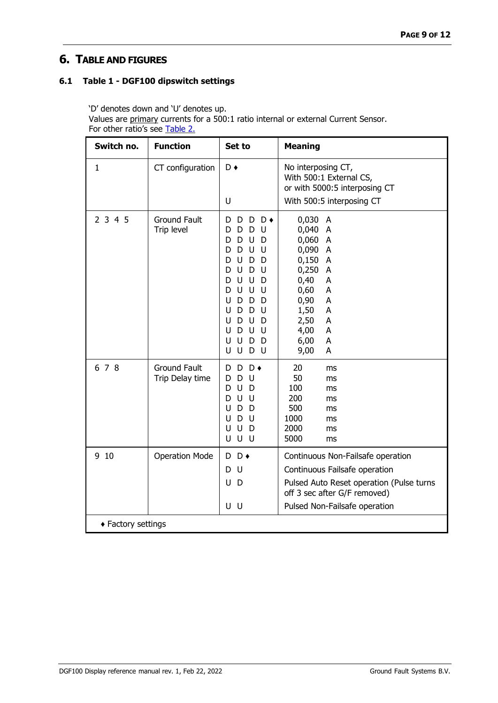# <span id="page-8-0"></span>**6. TABLE AND FIGURES**

### <span id="page-8-1"></span>**6.1 Table 1 - DGF100 dipswitch settings**

'D' denotes down and 'U' denotes up.

Values are primary currents for a 500:1 ratio internal or external Current Sensor. For other ratio's see [Table 2.](#page-9-0)

| Switch no.         | <b>Function</b>                        | Set to                                                                                                                                                                                                                                                                                            | <b>Meaning</b>                                                                                                                                                                                            |  |  |
|--------------------|----------------------------------------|---------------------------------------------------------------------------------------------------------------------------------------------------------------------------------------------------------------------------------------------------------------------------------------------------|-----------------------------------------------------------------------------------------------------------------------------------------------------------------------------------------------------------|--|--|
| 1                  | CT configuration                       | $D \bullet$<br>U                                                                                                                                                                                                                                                                                  | No interposing CT,<br>With 500:1 External CS,<br>or with 5000:5 interposing CT<br>With 500:5 interposing CT                                                                                               |  |  |
| 2345               | <b>Ground Fault</b><br>Trip level      | $D \rightarrow$<br>D<br>D<br>D<br>U<br>D<br>D<br>D<br>D<br>U<br>D<br>U<br>U<br>D<br>D<br>D<br>U<br>D<br>D<br>U<br>D<br>U<br>D<br>U<br>U<br>D<br>D<br>U<br>U<br>U<br>D<br>D<br>U<br>D<br>D<br>D<br>U<br>U<br>D<br>D<br>- U<br>D<br>U<br>U<br>U<br>U<br>D<br>U<br>D<br>D<br>U<br>U<br>D<br>U<br>- U | 0,030 A<br>0,040 A<br>0,060 A<br>0,090<br>$\overline{A}$<br>0,150<br>$\overline{A}$<br>0,250<br>A<br>0,40<br>A<br>0,60<br>A<br>0,90<br>A<br>1,50<br>A<br>2,50<br>A<br>4,00<br>A<br>6,00<br>A<br>9,00<br>A |  |  |
| 6 7 8              | <b>Ground Fault</b><br>Trip Delay time | $D \bullet$<br>D<br>D<br>D<br>- U<br>D<br>U<br>D<br>D<br>U<br>U<br>D<br>D<br>D<br>U<br>U<br>U<br>D<br>U<br>D<br>U<br>U U<br>U                                                                                                                                                                     | 20<br>ms<br>50<br>ms<br>100<br>ms<br>200<br>ms<br>500<br>ms<br>1000<br>ms<br>2000<br>ms<br>5000<br>ms                                                                                                     |  |  |
| 9 10               | <b>Operation Mode</b>                  | $D \bullet$<br>D<br>-U<br>D<br>U<br>D<br>U U                                                                                                                                                                                                                                                      | Continuous Non-Failsafe operation<br>Continuous Failsafe operation<br>Pulsed Auto Reset operation (Pulse turns<br>off 3 sec after G/F removed)<br>Pulsed Non-Failsafe operation                           |  |  |
| ◆ Factory settings |                                        |                                                                                                                                                                                                                                                                                                   |                                                                                                                                                                                                           |  |  |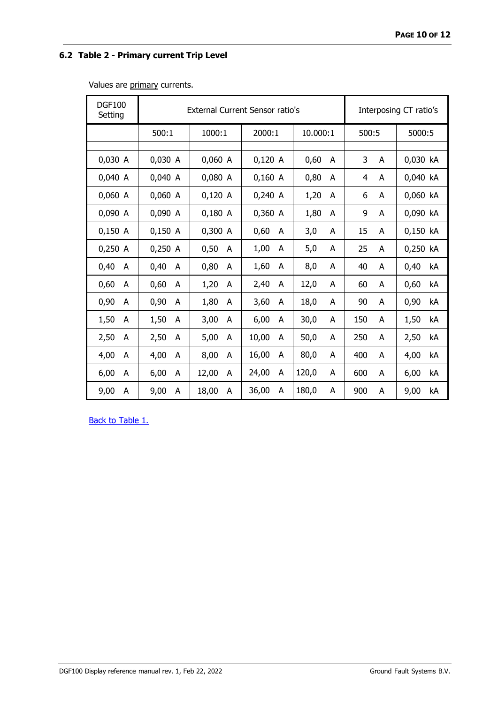## <span id="page-9-0"></span>**6.2 Table 2 - Primary current Trip Level**

Values are primary currents.

| <b>DGF100</b><br>Setting | External Current Sensor ratio's |            |            |            | Interposing CT ratio's |            |
|--------------------------|---------------------------------|------------|------------|------------|------------------------|------------|
|                          | 500:1                           | 1000:1     | 2000:1     | 10.000:1   | 500:5                  | 5000:5     |
|                          |                                 |            |            |            |                        |            |
| 0,030 A                  | 0,030 A                         | 0,060 A    | $0,120$ A  | 0,60<br>A  | 3<br>A                 | 0,030 kA   |
| 0,040 A                  | 0,040 A                         | 0,080 A    | 0,160 A    | 0,80<br>A  | 4<br>A                 | 0,040 kA   |
| 0,060 A                  | 0,060 A                         | $0,120$ A  | $0,240$ A  | 1,20<br>A  | 6<br>A                 | 0,060 kA   |
| 0,090 A                  | 0,090 A                         | $0,180$ A  | 0,360 A    | 1,80<br>A  | 9<br>A                 | 0,090 kA   |
| 0,150 A                  | $0,150$ A                       | $0,300$ A  | 0,60<br>A  | 3,0<br>А   | 15<br>A                | 0,150 kA   |
| 0,250 A                  | 0,250 A                         | 0,50<br>A  | 1,00<br>A  | 5,0<br>A   | 25<br>A                | 0,250 kA   |
| 0,40<br>A                | 0,40<br>A                       | 0,80<br>A  | 1,60<br>A  | 8,0<br>A   | 40<br>A                | 0,40<br>kA |
| 0,60<br>A                | 0,60<br>A                       | 1,20<br>A  | 2,40<br>A  | 12,0<br>A  | 60<br>A                | 0,60<br>kA |
| 0,90<br>A                | 0,90<br>A                       | 1,80<br>A  | 3,60<br>A  | 18,0<br>A  | 90<br>A                | 0,90<br>kA |
| 1,50<br>A                | 1,50<br>A                       | 3,00<br>A  | 6,00<br>A  | 30,0<br>А  | 150<br>A               | kA<br>1,50 |
| 2,50<br>A                | 2,50<br>A                       | 5,00<br>A  | 10,00<br>A | 50,0<br>A  | 250<br>A               | 2,50<br>kA |
| 4,00<br>A                | 4,00<br>A                       | 8,00<br>A  | 16,00<br>A | 80,0<br>А  | 400<br>A               | 4,00<br>kA |
| 6,00<br>A                | 6,00<br>A                       | 12,00<br>A | 24,00<br>A | 120,0<br>A | 600<br>A               | 6,00<br>kA |
| 9,00<br>А                | 9,00<br>A                       | 18,00<br>A | 36,00<br>A | 180,0<br>А | 900<br>A               | 9,00<br>kA |

**[Back to Table 1.](#page-8-1)**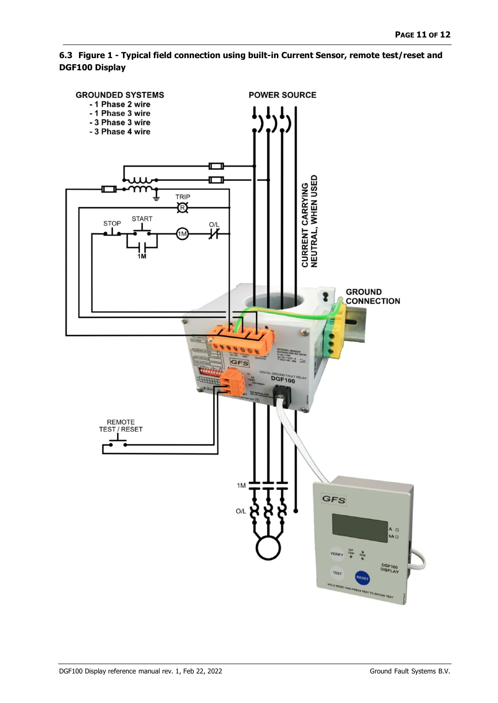<span id="page-10-0"></span>